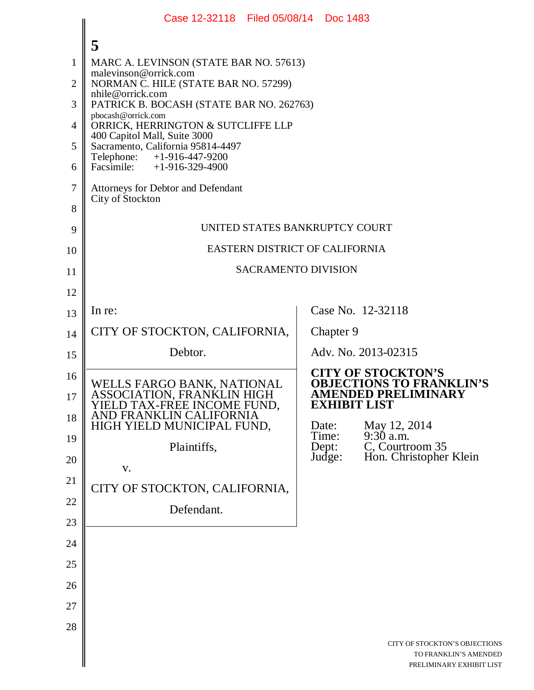|                | Case 12-32118 Filed 05/08/14 Doc 1483                                                |                     |                                                                                    |
|----------------|--------------------------------------------------------------------------------------|---------------------|------------------------------------------------------------------------------------|
|                | 5                                                                                    |                     |                                                                                    |
| 1              | MARC A. LEVINSON (STATE BAR NO. 57613)                                               |                     |                                                                                    |
| $\overline{2}$ | malevinson@orrick.com<br>NORMAN C. HILE (STATE BAR NO. 57299)                        |                     |                                                                                    |
| 3              | nhile@orrick.com<br>PATRICK B. BOCASH (STATE BAR NO. 262763)                         |                     |                                                                                    |
| $\overline{4}$ | pbocash@orrick.com<br>ORRICK, HERRINGTON & SUTCLIFFE LLP                             |                     |                                                                                    |
| 5              | 400 Capitol Mall, Suite 3000<br>Sacramento, California 95814-4497                    |                     |                                                                                    |
| 6              | Telephone: +1-916-447-9200<br>Facsimile: $+1-916-329-4900$                           |                     |                                                                                    |
| $\tau$         | Attorneys for Debtor and Defendant                                                   |                     |                                                                                    |
| 8              | City of Stockton                                                                     |                     |                                                                                    |
| 9              | UNITED STATES BANKRUPTCY COURT                                                       |                     |                                                                                    |
| 10             | EASTERN DISTRICT OF CALIFORNIA                                                       |                     |                                                                                    |
| 11             | <b>SACRAMENTO DIVISION</b>                                                           |                     |                                                                                    |
| 12             |                                                                                      |                     |                                                                                    |
| 13             | In re:                                                                               |                     | Case No. 12-32118                                                                  |
| 14             | CITY OF STOCKTON, CALIFORNIA,                                                        | Chapter 9           |                                                                                    |
| 15             | Debtor.                                                                              |                     | Adv. No. 2013-02315                                                                |
| 16             | WELLS FARGO BANK, NATIONAL                                                           |                     | <b>CITY OF STOCKTON'S</b><br><b>OBJECTIONS TO FRANKLIN'S</b>                       |
| 17             | ASSOCIATION, FRANKLIN HIGH                                                           | <b>EXHIBIT LIST</b> | <b>AMENDED PRELIMINARY</b>                                                         |
| 18             | YIELD TAX-FREE INCOME FUND,<br>AND FRANKLIN CALIFORNIA<br>HIGH YIELD MUNICIPAL FUND, | Date:               |                                                                                    |
| 19             | Plaintiffs,                                                                          | Time:<br>Dept:      | May 12, 2014<br>9:30 a.m.<br>C, Courtroom 35                                       |
| 20             | V.                                                                                   | Judge:              | Hon. Christopher Klein                                                             |
| 21             | CITY OF STOCKTON, CALIFORNIA,                                                        |                     |                                                                                    |
| 22             | Defendant.                                                                           |                     |                                                                                    |
| 23             |                                                                                      |                     |                                                                                    |
| 24             |                                                                                      |                     |                                                                                    |
| 25             |                                                                                      |                     |                                                                                    |
| 26             |                                                                                      |                     |                                                                                    |
| 27             |                                                                                      |                     |                                                                                    |
| 28             |                                                                                      |                     |                                                                                    |
|                |                                                                                      |                     | CITY OF STOCKTON'S OBJECTIONS<br>TO FRANKLIN'S AMENDED<br>PRELIMINARY EXHIBIT LIST |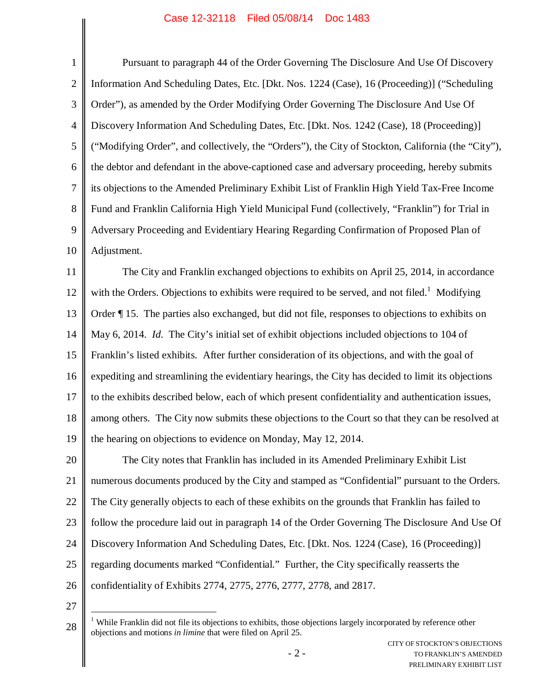## Case 12-32118 Filed 05/08/14 Doc 1483

| $\mathbf 1$    | Pursuant to paragraph 44 of the Order Governing The Disclosure And Use Of Discovery                       |
|----------------|-----------------------------------------------------------------------------------------------------------|
| $\overline{2}$ | Information And Scheduling Dates, Etc. [Dkt. Nos. 1224 (Case), 16 (Proceeding)] ("Scheduling              |
| 3              | Order"), as amended by the Order Modifying Order Governing The Disclosure And Use Of                      |
| $\overline{4}$ | Discovery Information And Scheduling Dates, Etc. [Dkt. Nos. 1242 (Case), 18 (Proceeding)]                 |
| 5              | "Modifying Order", and collectively, the "Orders"), the City of Stockton, California (the "City"),        |
| 6              | the debtor and defendant in the above-captioned case and adversary proceeding, hereby submits             |
| $\overline{7}$ | its objections to the Amended Preliminary Exhibit List of Franklin High Yield Tax-Free Income             |
| 8              | Fund and Franklin California High Yield Municipal Fund (collectively, "Franklin") for Trial in            |
| 9              | Adversary Proceeding and Evidentiary Hearing Regarding Confirmation of Proposed Plan of                   |
| 10             | Adjustment.                                                                                               |
| 11             | The City and Franklin exchanged objections to exhibits on April 25, 2014, in accordance                   |
| 12             | with the Orders. Objections to exhibits were required to be served, and not filed. <sup>1</sup> Modifying |
| 13             | Order ¶15. The parties also exchanged, but did not file, responses to objections to exhibits on           |
| 14             | May 6, 2014. Id. The City's initial set of exhibit objections included objections to 104 of               |
| 15             | Franklin's listed exhibits. After further consideration of its objections, and with the goal of           |
| 16             | expediting and streamlining the evidentiary hearings, the City has decided to limit its objections        |
| 17             | to the exhibits described below, each of which present confidentiality and authentication issues,         |
| 18             | among others. The City now submits these objections to the Court so that they can be resolved at          |
| 19             | the hearing on objections to evidence on Monday, May 12, 2014.                                            |
| 20             | The City notes that Franklin has included in its Amended Preliminary Exhibit List                         |
| 21             | numerous documents produced by the City and stamped as "Confidential" pursuant to the Orders.             |
| 22             | The City generally objects to each of these exhibits on the grounds that Franklin has failed to           |
| 23             | follow the procedure laid out in paragraph 14 of the Order Governing The Disclosure And Use Of            |
| 24             | Discovery Information And Scheduling Dates, Etc. [Dkt. Nos. 1224 (Case), 16 (Proceeding)]                 |
| 25             | regarding documents marked "Confidential." Further, the City specifically reasserts the                   |
| 26             | confidentiality of Exhibits 2774, 2775, 2776, 2777, 2778, and 2817.                                       |
| 27             |                                                                                                           |

<sup>28</sup> <sup>1</sup> While Franklin did not file its objections to exhibits, those objections largely incorporated by reference other objections and motions *in limine* that were filed on April 25.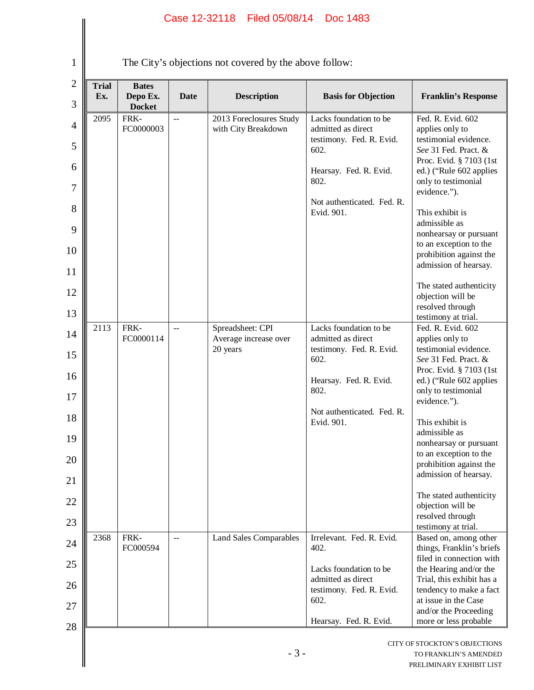## Case 12-32118 Filed 05/08/14 Doc 1483

1

The City's objections not covered by the above follow:

| <b>Trial</b><br>Ex. | <b>Bates</b><br>Depo Ex.<br><b>Docket</b> | Date           | <b>Description</b>                             | <b>Basis for Objection</b>                                                       | <b>Franklin's Response</b>                                                            |
|---------------------|-------------------------------------------|----------------|------------------------------------------------|----------------------------------------------------------------------------------|---------------------------------------------------------------------------------------|
| 2095                | FRK-<br>FC0000003                         | $\overline{a}$ | 2013 Foreclosures Study<br>with City Breakdown | Lacks foundation to be<br>admitted as direct<br>testimony. Fed. R. Evid.<br>602. | Fed. R. Evid. 602<br>applies only to<br>testimonial evidence.<br>See 31 Fed. Pract. & |
|                     |                                           |                |                                                |                                                                                  | Proc. Evid. § 7103 (1st                                                               |
|                     |                                           |                |                                                | Hearsay. Fed. R. Evid.<br>802.                                                   | ed.) ("Rule 602 applies<br>only to testimonial<br>evidence.").                        |
|                     |                                           |                |                                                | Not authenticated. Fed. R.<br>Evid. 901.                                         | This exhibit is                                                                       |
|                     |                                           |                |                                                |                                                                                  | admissible as<br>nonhearsay or pursuant<br>to an exception to the                     |
|                     |                                           |                |                                                |                                                                                  | prohibition against the<br>admission of hearsay.                                      |
|                     |                                           |                |                                                |                                                                                  | The stated authenticity                                                               |
|                     |                                           |                |                                                |                                                                                  | objection will be<br>resolved through<br>testimony at trial.                          |
| 2113                | FRK-<br>FC0000114                         | $\overline{a}$ | Spreadsheet: CPI<br>Average increase over      | Lacks foundation to be<br>admitted as direct                                     | Fed. R. Evid. 602<br>applies only to                                                  |
|                     |                                           |                | 20 years                                       | testimony. Fed. R. Evid.<br>602.                                                 | testimonial evidence.<br>See 31 Fed. Pract. &                                         |
|                     |                                           |                |                                                | Hearsay. Fed. R. Evid.                                                           | Proc. Evid. § 7103 (1st<br>ed.) ("Rule 602 applies                                    |
|                     |                                           |                |                                                | 802.                                                                             | only to testimonial<br>evidence.").                                                   |
|                     |                                           |                |                                                | Not authenticated. Fed. R.                                                       |                                                                                       |
|                     |                                           |                |                                                | Evid. 901.                                                                       | This exhibit is<br>admissible as                                                      |
|                     |                                           |                |                                                |                                                                                  | nonhearsay or pursuant<br>to an exception to the                                      |
|                     |                                           |                |                                                |                                                                                  | prohibition against the<br>admission of hearsay.                                      |
|                     |                                           |                |                                                |                                                                                  | The stated authenticity                                                               |
|                     |                                           |                |                                                |                                                                                  | objection will be<br>resolved through                                                 |
|                     |                                           |                |                                                |                                                                                  | testimony at trial.                                                                   |
| 2368                | FRK-<br>FC000594                          | $-$            | <b>Land Sales Comparables</b>                  | Irrelevant. Fed. R. Evid.<br>402.                                                | Based on, among other<br>things, Franklin's briefs<br>filed in connection with        |
|                     |                                           |                |                                                | Lacks foundation to be<br>admitted as direct                                     | the Hearing and/or the                                                                |
|                     |                                           |                |                                                | testimony. Fed. R. Evid.                                                         | Trial, this exhibit has a<br>tendency to make a fact                                  |
|                     |                                           |                |                                                | 602.                                                                             | at issue in the Case<br>and/or the Proceeding                                         |
|                     |                                           |                |                                                | Hearsay. Fed. R. Evid.                                                           | more or less probable                                                                 |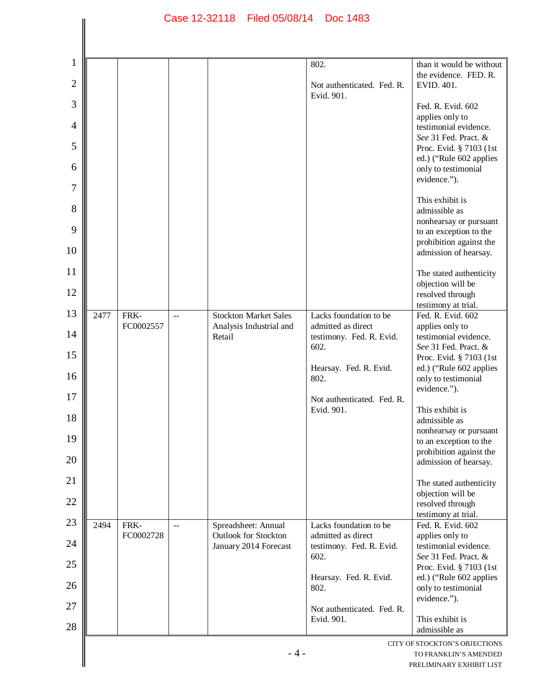|      |           |                          |                                   | 802.                                           | than it would be without                         |
|------|-----------|--------------------------|-----------------------------------|------------------------------------------------|--------------------------------------------------|
|      |           |                          |                                   | Not authenticated. Fed. R.<br>Evid. 901.       | the evidence. FED. R.<br>EVID. 401.              |
|      |           |                          |                                   |                                                | Fed. R. Evid. 602                                |
|      |           |                          |                                   |                                                | applies only to<br>testimonial evidence.         |
|      |           |                          |                                   |                                                | See 31 Fed. Pract. &                             |
|      |           |                          |                                   |                                                | Proc. Evid. § 7103 (1st                          |
|      |           |                          |                                   |                                                | ed.) ("Rule 602 applies<br>only to testimonial   |
|      |           |                          |                                   |                                                | evidence.").                                     |
|      |           |                          |                                   |                                                | This exhibit is                                  |
|      |           |                          |                                   |                                                | admissible as<br>nonhearsay or pursuant          |
|      |           |                          |                                   |                                                | to an exception to the                           |
|      |           |                          |                                   |                                                | prohibition against the                          |
|      |           |                          |                                   |                                                | admission of hearsay.                            |
|      |           |                          |                                   |                                                | The stated authenticity                          |
|      |           |                          |                                   |                                                | objection will be<br>resolved through            |
|      |           |                          |                                   |                                                | testimony at trial.                              |
| 2477 | FRK-      | $\overline{\phantom{a}}$ | <b>Stockton Market Sales</b>      | Lacks foundation to be                         | Fed. R. Evid. 602                                |
|      | FC0002557 |                          | Analysis Industrial and<br>Retail | admitted as direct<br>testimony. Fed. R. Evid. | applies only to<br>testimonial evidence.         |
|      |           |                          |                                   | 602.                                           | See 31 Fed. Pract. &                             |
|      |           |                          |                                   |                                                | Proc. Evid. § 7103 (1st                          |
|      |           |                          |                                   | Hearsay. Fed. R. Evid.<br>802.                 | ed.) ("Rule 602 applies<br>only to testimonial   |
|      |           |                          |                                   | Not authenticated. Fed. R.                     | evidence.").                                     |
|      |           |                          |                                   | Evid. 901.                                     | This exhibit is                                  |
|      |           |                          |                                   |                                                | admissible as                                    |
|      |           |                          |                                   |                                                | nonhearsay or pursuant<br>to an exception to the |
|      |           |                          |                                   |                                                | prohibition against the                          |
|      |           |                          |                                   |                                                | admission of hearsay.                            |
|      |           |                          |                                   |                                                | The stated authenticity                          |
|      |           |                          |                                   |                                                | objection will be                                |
|      |           |                          |                                   |                                                | resolved through<br>testimony at trial.          |
| 2494 | FRK-      | $\overline{\phantom{a}}$ | Spreadsheet: Annual               | Lacks foundation to be                         | Fed. R. Evid. 602                                |
|      | FC0002728 |                          | <b>Outlook for Stockton</b>       | admitted as direct                             | applies only to                                  |
|      |           |                          | January 2014 Forecast             | testimony. Fed. R. Evid.<br>602.               | testimonial evidence.<br>See 31 Fed. Pract. &    |
|      |           |                          |                                   |                                                | Proc. Evid. § 7103 (1st                          |
|      |           |                          |                                   | Hearsay. Fed. R. Evid.                         | ed.) ("Rule 602 applies                          |
|      |           |                          |                                   | 802.                                           | only to testimonial<br>evidence.").              |
|      |           |                          |                                   | Not authenticated. Fed. R.                     |                                                  |
|      |           |                          |                                   | Evid. 901.                                     | This exhibit is                                  |